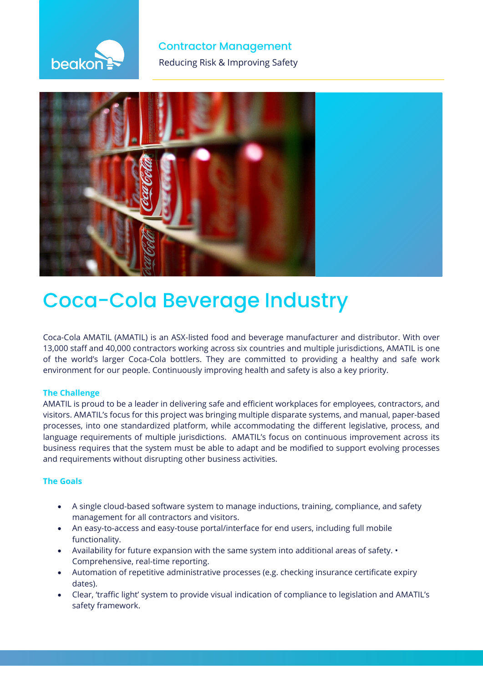

**Contractor Management** 

**The Reducing Risk & Improving Safety** 



## **Coca-Cola Beverage Industry**

Coca-Cola AMATIL (AMATIL) is an ASX-listed food and beverage manufacturer and distributor. With over 13,000 staff and 40,000 contractors working across six countries and multiple jurisdictions, AMATIL is one of the world's larger Coca-Cola bottlers. They are committed to providing a healthy and safe work environment for our people. Continuously improving health and safety is also a key priority.

### **The Challenge**

AMATIL is proud to be a leader in delivering safe and efficient workplaces for employees, contractors, and visitors. AMATIL's focus for this project was bringing multiple disparate systems, and manual, paper-based processes, into one standardized platform, while accommodating the different legislative, process, and language requirements of multiple jurisdictions. AMATIL's focus on continuous improvement across its business requires that the system must be able to adapt and be modified to support evolving processes and requirements without disrupting other business activities.

## **The Goals**

- A single cloud-based software system to manage inductions, training, compliance, and safety management for all contractors and visitors.
- An easy-to-access and easy-touse portal/interface for end users, including full mobile functionality.
- Availability for future expansion with the same system into additional areas of safety. Comprehensive, real-time reporting.
- Automation of repetitive administrative processes (e.g. checking insurance certificate expiry dates).
- Clear, 'traffic light' system to provide visual indication of compliance to legislation and AMATIL's safety framework.